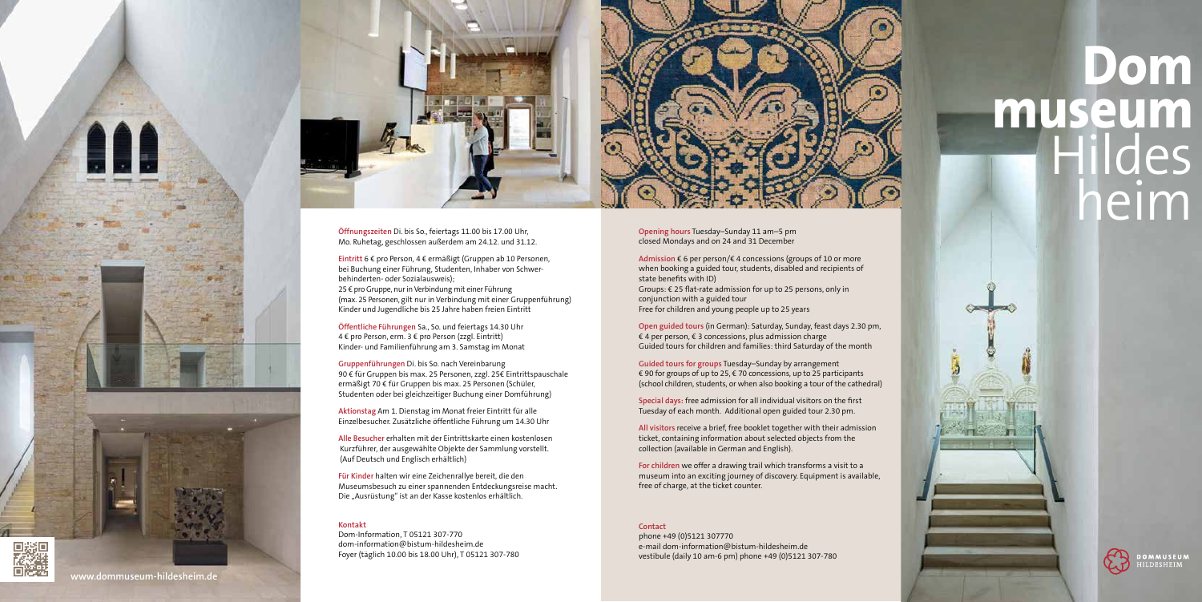



**Öffnungszeiten** Di. bis So., feiertags 11.00 bis 17.00 Uhr, Mo. Ruhetag, geschlossen außerdem am 24.12. und 31.12.

# **Dom museum** Hildes heim

**Carolina** 



**DOMMUSEUM** DESHEIM

**Eintritt** 6 € pro Person, 4 € ermäßigt (Gruppen ab 10 Personen, bei Buchung einer Führung, Studenten, Inhaber von Schwerbehinderten- oder Sozialausweis); 25 € pro Gruppe, nur in Verbindung mit einer Führung (max. 25 Personen, gilt nur in Verbindung mit einer Gruppenführung) Kinder und Jugendliche bis 25 Jahre haben freien Eintritt

**Öffentliche Führungen** Sa., So. und feiertags 14.30 Uhr 4 € pro Person, erm. 3 € pro Person (zzgl. Eintritt) Kinder- und Familienführung am 3. Samstag im Monat

**Für Kinder** halten wir eine Zeichenrallye bereit, die den Museumsbesuch zu einer spannenden Entdeckungsreise macht. Die "Ausrüstung" ist an der Kasse kostenlos erhältlich.

**Gruppenführungen** Di. bis So. nach Vereinbarung 90 € für Gruppen bis max. 25 Personen, zzgl. 25€ Eintrittspauschale ermäßigt 70 € für Gruppen bis max. 25 Personen (Schüler, Studenten oder bei gleichzeitiger Buchung einer Domführung)

**Aktionstag** Am 1. Dienstag im Monat freier Eintritt für alle Einzelbesucher. Zusätzliche öffentliche Führung um 14.30 Uhr

**Alle Besucher** erhalten mit der Eintrittskarte einen kostenlosen Kurzführer, der ausgewählte Objekte der Sammlung vorstellt. (Auf Deutsch und Englisch erhältlich)

#### **Kontakt**

Dom-Information, T 05121 307-770 dom-information@bistum-hildesheim.de Foyer (täglich 10.00 bis 18.00 Uhr), T 05121 307-780 **Opening hours** Tuesday–Sunday 11 am–5 pm closed Mondays and on 24 and 31 December

**Admission** € 6 per person/€ 4 concessions (groups of 10 or more when booking a guided tour, students, disabled and recipients of state benefits with ID) Groups: € 25 flat-rate admission for up to 25 persons, only in conjunction with a guided tour Free for children and young people up to 25 years

**Open guided tours** (in German): Saturday, Sunday, feast days 2.30 pm, € 4 per person, € 3 concessions, plus admission charge Guided tours for children and families: third Saturday of the month

**Guided tours for groups** Tuesday–Sunday by arrangement € 90 for groups of up to 25, € 70 concessions, up to 25 participants (school children, students, or when also booking a tour of the cathedral)

**Special days:** free admission for all individual visitors on the first Tuesday of each month. Additional open guided tour 2.30 pm.

**All visitors** receive a brief, free booklet together with their admission ticket, containing information about selected objects from the collection (available in German and English).

**For children** we offer a drawing trail which transforms a visit to a museum into an exciting journey of discovery. Equipment is available, free of charge, at the ticket counter.

#### **Contact**

phone +49 (0)5121 307770 e-mail dom-information@bistum-hildesheim.de vestibule (daily 10 am-6 pm) phone +49 (0)5121 307-780